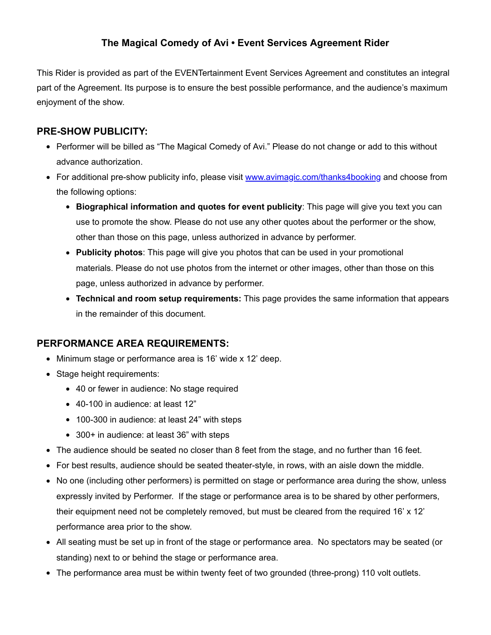# **The Magical Comedy of Avi • Event Services Agreement Rider**

This Rider is provided as part of the EVENTertainment Event Services Agreement and constitutes an integral part of the Agreement. Its purpose is to ensure the best possible performance, and the audience's maximum enjoyment of the show.

## **PRE-SHOW PUBLICITY:**

- Performer will be billed as "The Magical Comedy of Avi." Please do not change or add to this without advance authorization.
- For additional pre-show publicity info, please visit www.avimagic.com/thanks4booking and choose from the following options:
	- **Biographical information and quotes for event publicity**: This page will give you text you can use to promote the show. Please do not use any other quotes about the performer or the show, other than those on this page, unless authorized in advance by performer.
	- **Publicity photos**: This page will give you photos that can be used in your promotional materials. Please do not use photos from the internet or other images, other than those on this page, unless authorized in advance by performer.
	- **Technical and room setup requirements:** This page provides the same information that appears in the remainder of this document.

#### **PERFORMANCE AREA REQUIREMENTS:**

- Minimum stage or performance area is 16' wide x 12' deep.
- Stage height requirements:
	- 40 or fewer in audience: No stage required
	- 40-100 in audience: at least 12"
	- 100-300 in audience: at least 24" with steps
	- 300+ in audience: at least 36" with steps
- The audience should be seated no closer than 8 feet from the stage, and no further than 16 feet.
- For best results, audience should be seated theater-style, in rows, with an aisle down the middle.
- No one (including other performers) is permitted on stage or performance area during the show, unless expressly invited by Performer. If the stage or performance area is to be shared by other performers, their equipment need not be completely removed, but must be cleared from the required 16' x 12' performance area prior to the show.
- All seating must be set up in front of the stage or performance area. No spectators may be seated (or standing) next to or behind the stage or performance area.
- The performance area must be within twenty feet of two grounded (three-prong) 110 volt outlets.